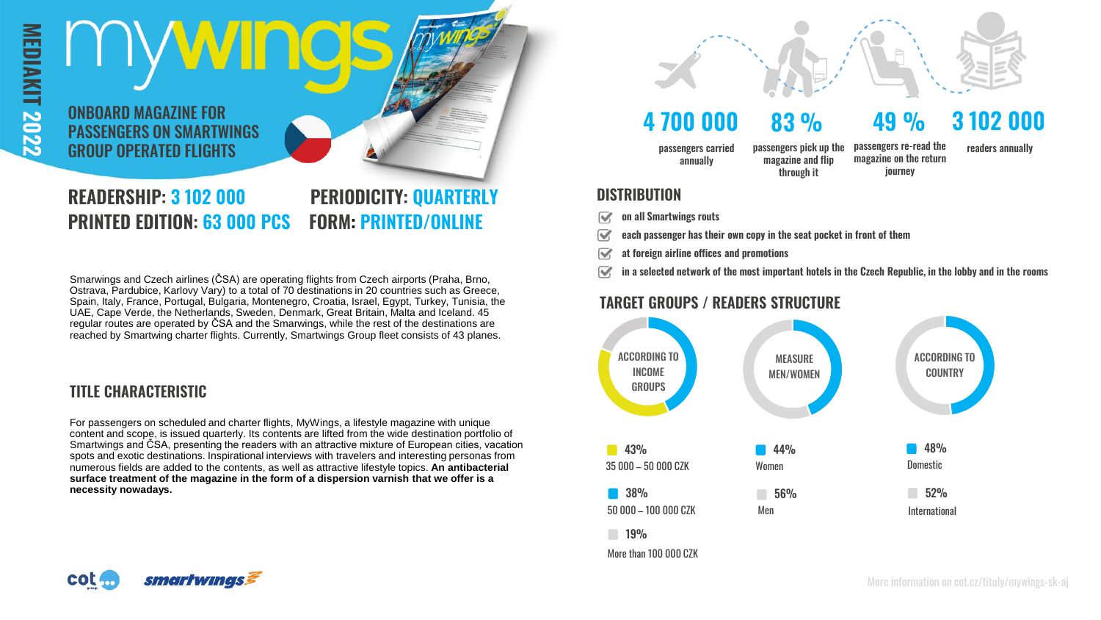

# **READERSHIP: 3 102 000 PERIODICITY: QUARTERLY PRINTED EDITION: 63 000 PCS FORM: PRINTED/ONLINE**

Ostrava, Pardubice, Karlovy Vary) to a total of 70 destinations in 20 countries such as Greece, Spain, Italy, France, Portugal, Bulgaria, Montenegro, Croatia, Israel, Egypt, Turkey, Tunisia, the UAE, Cape Verde, the Netherlands, Sweden, Denmark, Great Britain, Malta and Iceland. 45 regular routes are operated by ČSA and the Smarwings, while the rest of the destinations are reached by Smartwing charter flights. Currently, Smartwings Group fleet consists of 43 planes.

### **TITLE CHARACTERISTIC**

For passengers on scheduled and charter flights, MyWings, a lifestyle magazine with unique content and scope, is issued quarterly. Its contents are lifted from the wide destination portfolio of Smartwings and ČSA, presenting the readers with an attractive mixture of European cities, vacation spots and exotic destinations. Inspirational interviews with travelers and interesting personas from numerous fields are added to the contents, as well as attractive lifestyle topics. **An antibacterial surface treatment of the magazine in the form of a dispersion varnish that we offer is a necessity nowadays.** 



# **4 700 000 83 % 49 % 3 102 000**

journey

passengers carried annually

passengers re-read the magazine on the return passengers pick up the magazine and flip through it

readers annually

#### **DISTRIBUTION**

- **on all Smartwings routs**  $\triangledown$
- $\overline{\mathbf{v}}$ **each passenger has their own copy in the seat pocket in front of them**
- **at foreign airline offices and promotions**  $\overline{\mathbf{v}}$
- Smarwings and Czech airlines (ČSA) are operating flights from Czech airports (Praha, Brno,

## **TARGET GROUPS / READERS STRUCTURE**